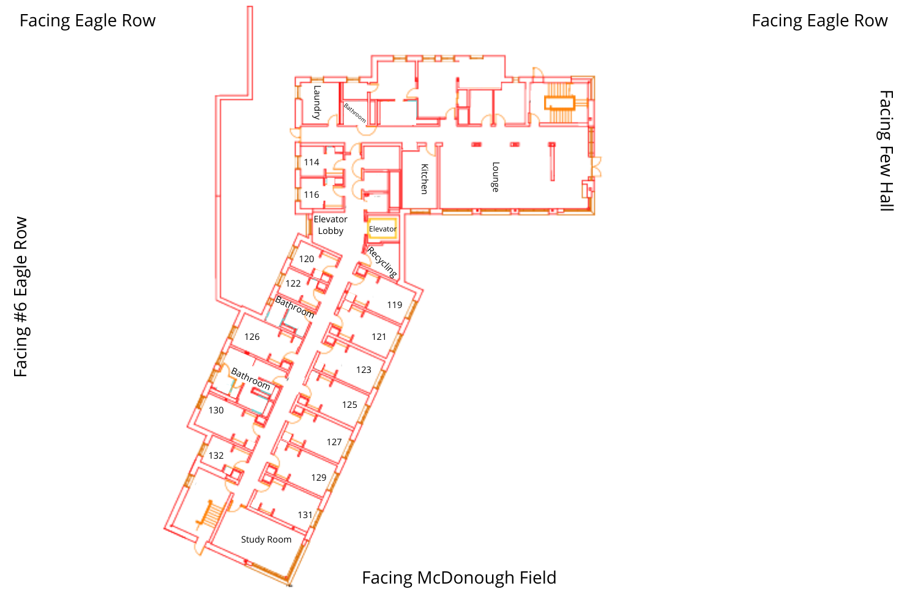# Facing Eagle Row

# Facing Eagle Row

Facing Few Hall

Facing Few Hall

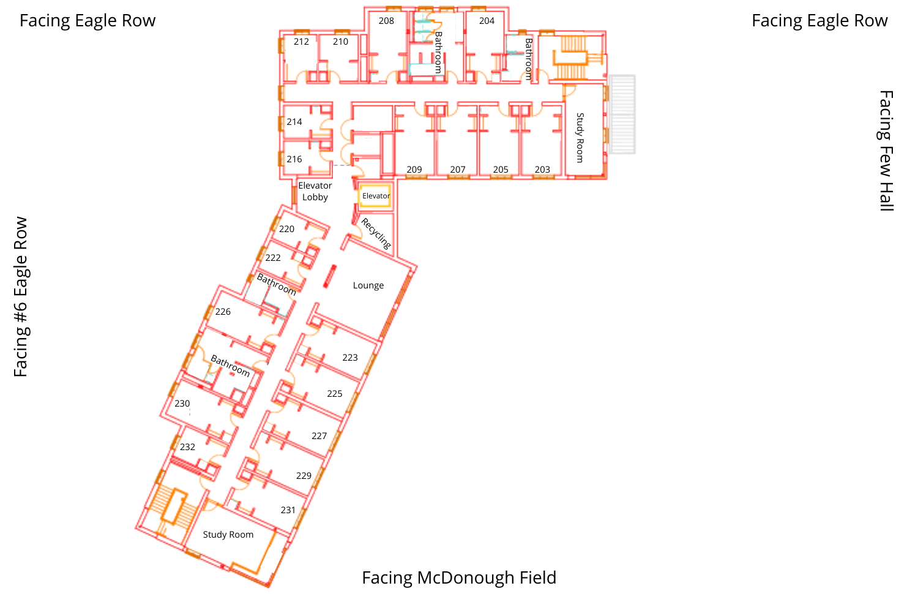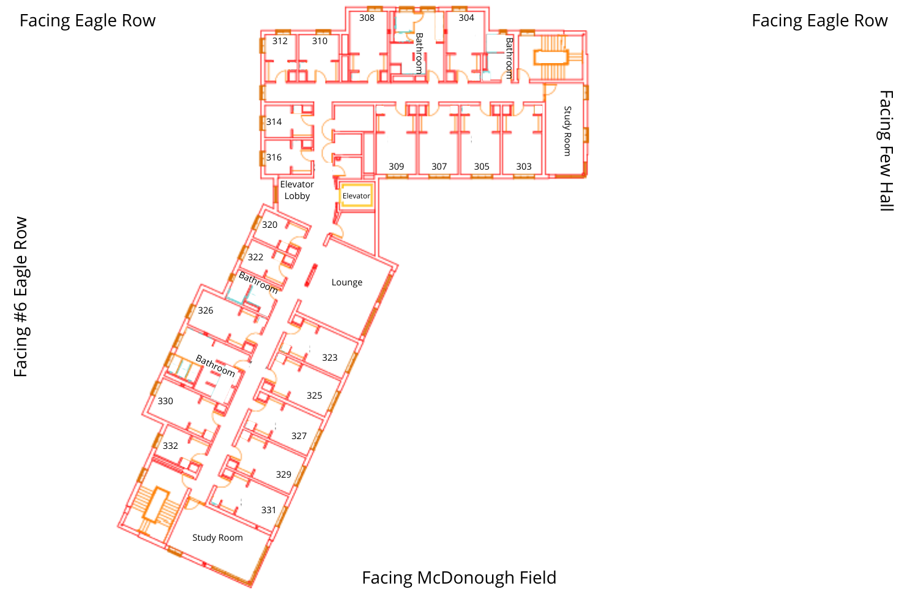

Facing #6 Eagle Row

Facing #6 Eagle Row

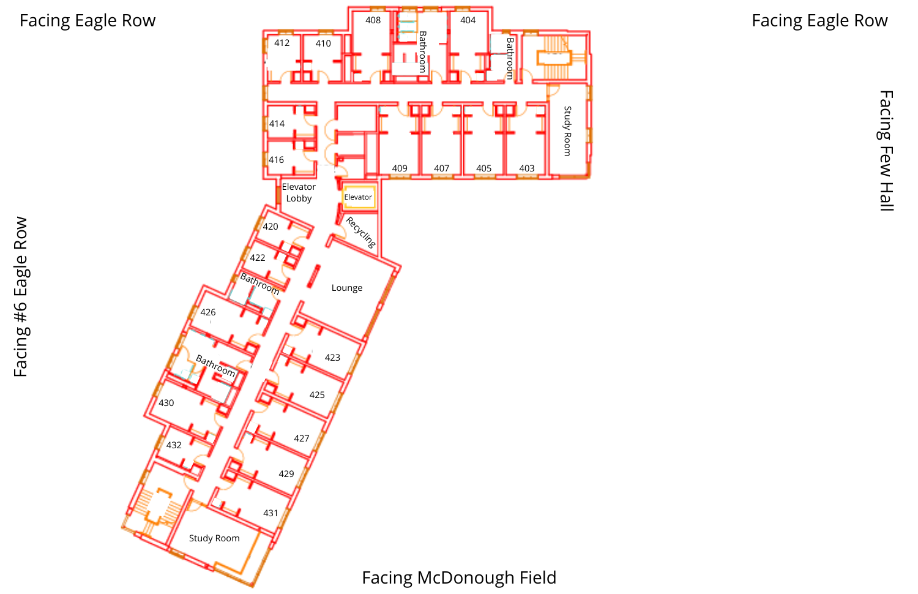